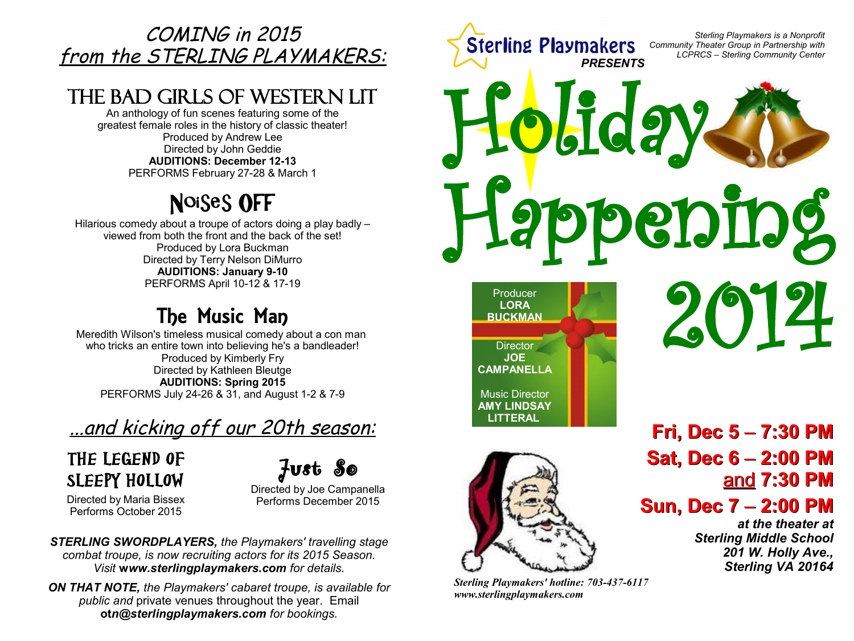## COMING in 2015 from the STERLING PLAYMAKERS:

# The Bad Girls of Western Lit

An anthology of fun scenes featuring some of the greatest female roles in the history of classic theater! Produced by Andrew Lee Directed by John Geddie **AUDITIONS: December 12-13** PERFORMS February 27-28 & March 1

# Noises Off

Hilarious comedy about a troupe of actors doing a play badly – viewed from both the front and the back of the set! Produced by Lora Buckman Directed by Terry Nelson DiMurro **AUDITIONS: January 9-10** PERFORMS April 10-12 & 17-19

# The Music Man

Meredith Wilson's timeless musical comedy about a con man who tricks an entire town into believing he's a bandleader! Produced by Kimberly Fry Directed by Kathleen Bleutge **AUDITIONS: Spring 2015** PERFORMS July 24-26 & 31, and August 1-2 & 7-9

# ...and kicking off our 20th season:

# The Legend of SLEEPY HOLLOW

Just So

Directed by Maria Bissex Performs October 2015

Directed by Joe Campanella Performs December 2015

*STERLING SWORDPLAYERS, the Playmakers' travelling stage combat troupe, is now recruiting actors for its 2015 Season. Visit* **w***ww.sterlingplaymakers.com for details.*

*ON THAT NOTE, the Playmakers' cabaret troupe, is available for public and* private venues throughout the year. Email **ot***n@sterlingplaymakers.com for bookings.*

*Sterling Playmakers is a Nonprofit* **Sterling Playmakers** *Community Theater Group in Partnership with LCPRCS – Sterling Community Center PRESENTS* Holiday **eppening** 2014 Producer **LORA BUCKMAN**



**Director JOE CAMPANELLA**

Music Director **AMY LINDSAY LITTERAL**

*Sterling Playmakers' hotline: 703-437-6117 www.sterlingplaymakers.com*

**Fri, Dec 5** – **7:30 PM Sat, Dec 6** – **2:00 PM** and **7:30 PM**

## **Sun, Dec 7** – **2:00 PM**

*at the theater at Sterling Middle School 201 W. Holly Ave., Sterling VA 20164*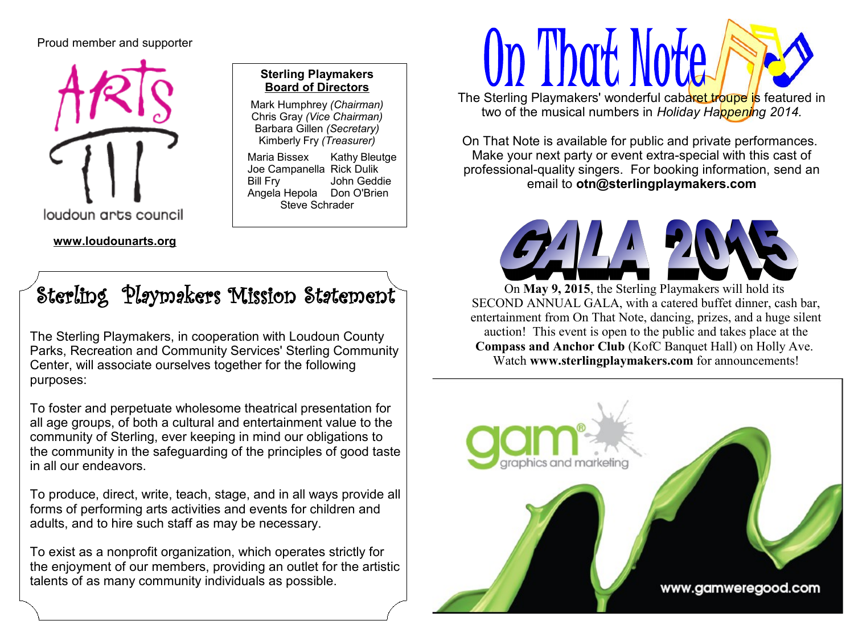#### Proud member and supporter



#### **Sterling Playmakers Board of Directors**

Mark Humphrey *(Chairman)* Chris Gray *(Vice Chairman)* Barbara Gillen *(Secretary)* Kimberly Fry *(Treasurer)*

Maria Bissex Kathy Bleutge Joe Campanella Rick Dulik Bill Fry John Geddie Angela Hepola Don O'Brien Steve Schrader

# Sterling Playmakers Mission Statement

The Sterling Playmakers, in cooperation with Loudoun County Parks, Recreation and Community Services' Sterling Community Center, will associate ourselves together for the following purposes:

To foster and perpetuate wholesome theatrical presentation for all age groups, of both a cultural and entertainment value to the community of Sterling, ever keeping in mind our obligations to the community in the safeguarding of the principles of good taste in all our endeavors.

To produce, direct, write, teach, stage, and in all ways provide all forms of performing arts activities and events for children and adults, and to hire such staff as may be necessary.

To exist as a nonprofit organization, which operates strictly for the enjoyment of our members, providing an outlet for the artistic talents of as many community individuals as possible.

# Op Thot Note The Sterling Playmakers' wonderful cabaret troupe is featured in

two of the musical numbers in *Holiday Happening 2014.*

On That Note is available for public and private performances. Make your next party or event extra-special with this cast of professional-quality singers. For booking information, send an email to **otn@sterlingplaymakers.com**



On **May 9, 2015**, the Sterling Playmakers will hold its SECOND ANNUAL GALA, with a catered buffet dinner, cash bar, entertainment from On That Note, dancing, prizes, and a huge silent auction! This event is open to the public and takes place at the **Compass and Anchor Club** (KofC Banquet Hall) on Holly Ave. Watch **www.sterlingplaymakers.com** for announcements!

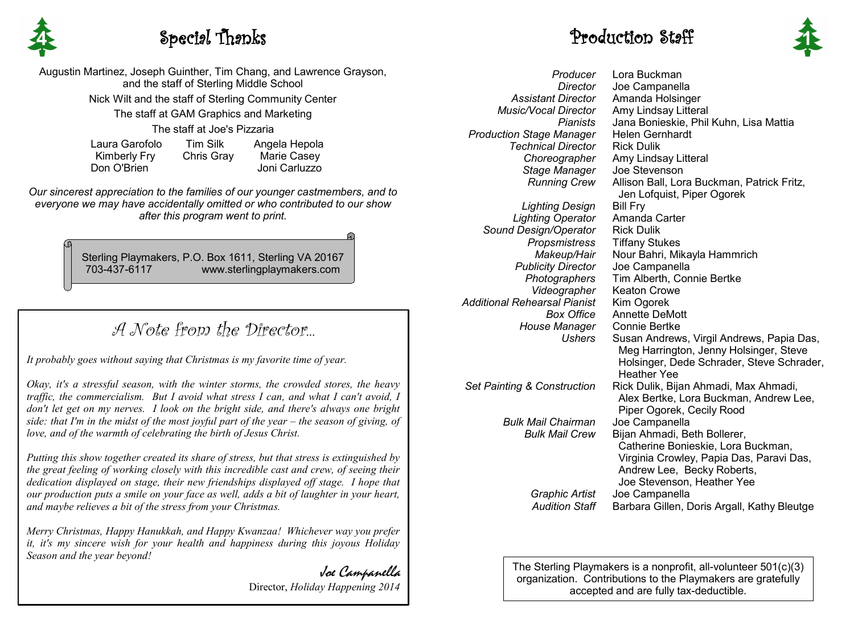

### **4** Special Thanks **1**

Augustin Martinez, Joseph Guinther, Tim Chang, and Lawrence Grayson, and the staff of Sterling Middle School Nick Wilt and the staff of Sterling Community Center The staff at GAM Graphics and Marketing The staff at Joe's Pizzaria Laura Garofolo Tim Silk Angela Hepola

 Kimberly Fry Chris Gray Marie Casey Don O'Brien Joni Carluzzo

*Our sincerest appreciation to the families of our younger castmembers, and to everyone we may have accidentally omitted or who contributed to our show after this program went to print.*

> Sterling Playmakers, P.O. Box 1611, Sterling VA 20167 703-437-6117 www.sterlingplaymakers.com

## A Note from the Director...

*It probably goes without saying that Christmas is my favorite time of year.*

*Okay, it's a stressful season, with the winter storms, the crowded stores, the heavy traffic, the commercialism. But I avoid what stress I can, and what I can't avoid, I don't let get on my nerves. I look on the bright side, and there's always one bright side: that I'm in the midst of the most joyful part of the year – the season of giving, of love, and of the warmth of celebrating the birth of Jesus Christ.*

*Putting this show together created its share of stress, but that stress is extinguished by the great feeling of working closely with this incredible cast and crew, of seeing their dedication displayed on stage, their new friendships displayed off stage. I hope that our production puts a smile on your face as well, adds a bit of laughter in your heart, and maybe relieves a bit of the stress from your Christmas.*

*Merry Christmas, Happy Hanukkah, and Happy Kwanzaa! Whichever way you prefer it, it's my sincere wish for your health and happiness during this joyous Holiday Season and the year beyond!*

> Joe Campanella Director, *Holiday Happening 2014*



*Producer Director Assistant Director Music/Vocal Director Pianists Production Stage Manager Technical Director Choreographer Stage Manager Running Crew Lighting Design Lighting Operator Sound Design/Operator Propsmistress Makeup/Hair Publicity Director Photographers Videographer Additional Rehearsal Pianist Box Office House Manager Ushers Set Painting & Construction Bulk Mail Chairman Bulk Mail Crew Graphic Artist Audition Staff* Lora Buckman Joe Campanella Amanda Holsinger Amy Lindsay Litteral Jana Bonieskie, Phil Kuhn, Lisa Mattia Helen Gernhardt Rick Dulik Amy Lindsay Litteral Joe Stevenson Allison Ball, Lora Buckman, Patrick Fritz, Jen Lofquist, Piper Ogorek Bill Fry Amanda Carter Rick Dulik Tiffany Stukes Nour Bahri, Mikayla Hammrich Joe Campanella Tim Alberth, Connie Bertke Keaton Crowe Kim Ogorek Annette DeMott Connie Bertke Susan Andrews, Virgil Andrews, Papia Das, Meg Harrington, Jenny Holsinger, Steve Holsinger, Dede Schrader, Steve Schrader, Heather Yee Rick Dulik, Bijan Ahmadi, Max Ahmadi, Alex Bertke, Lora Buckman, Andrew Lee, Piper Ogorek, Cecily Rood Joe Campanella Bijan Ahmadi, Beth Bollerer, Catherine Bonieskie, Lora Buckman, Virginia Crowley, Papia Das, Paravi Das, Andrew Lee, Becky Roberts, Joe Stevenson, Heather Yee Joe Campanella Barbara Gillen, Doris Argall, Kathy Bleutge

> The Sterling Playmakers is a nonprofit, all-volunteer 501(c)(3) organization. Contributions to the Playmakers are gratefully accepted and are fully tax-deductible.